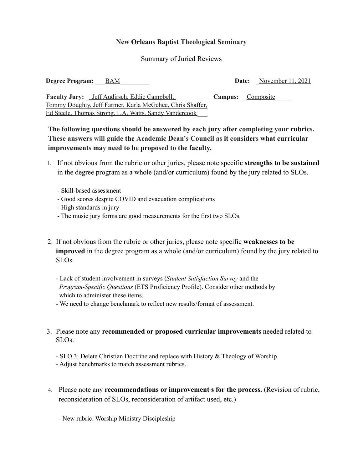## **New Orleans Baptist Theological Seminary**

## Summary of Juried Reviews

| <b>Degree Program:</b> BAM |  | <b>Date:</b> November 11, 2021 |
|----------------------------|--|--------------------------------|
|                            |  |                                |

**Faculty Jury:** Leff Audirsch, Eddie Campbell, **Campus:** Composite Tommy Doughty, Jeff Farmer, Karla McGehee, Chris Shaffer, Ed Steele, Thomas Strong, L A. Watts, Sandy Vandercook \_\_\_

**The following questions should be answered by each jury after completing your rubrics. These answers will guide the Academic Dean's Council as it considers what curricular improvements may need to be proposed to the faculty.**

- 1. If not obvious from the rubric or other juries, please note specific **strengths to be sustained** in the degree program as a whole (and/or curriculum) found by the jury related to SLOs.
	- Skill-based assessment
	- Good scores despite COVID and evacuation complications
	- High standards in jury
	- The music jury forms are good measurements for the first two SLOs.
- 2. If not obvious from the rubric or other juries, please note specific **weaknesses to be improved** in the degree program as a whole (and/or curriculum) found by the jury related to SLOs.
	- Lack of student involvement in surveys (*Student Satisfaction Survey* and the *Program-Specific Questions* (ETS Proficiency Profile). Consider other methods by which to administer these items.
	- We need to change benchmark to reflect new results/format of assessment.
- 3. Please note any **recommended or proposed curricular improvements** needed related to SLOs.
	- SLO 3: Delete Christian Doctrine and replace with History & Theology of Worship.
	- Adjust benchmarks to match assessment rubrics.
- 4. Please note any **recommendations or improvement s for the process.** (Revision of rubric, reconsideration of SLOs, reconsideration of artifact used, etc.)
	- New rubric: Worship Ministry Discipleship